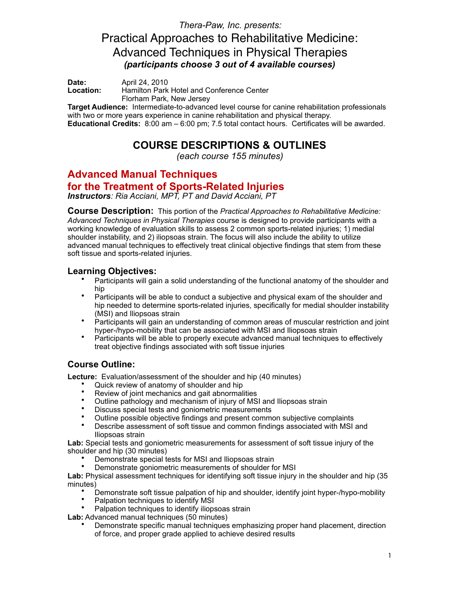*Thera-Paw, Inc. presents:*  Practical Approaches to Rehabilitative Medicine: Advanced Techniques in Physical Therapies *(participants choose 3 out of 4 available courses)* 

**Date:** April 24, 2010<br> **Location:** Hamilton Park **Location:** Hamilton Park Hotel and Conference Center Florham Park, New Jersey

**Target Audience:** Intermediate-to-advanced level course for canine rehabilitation professionals with two or more years experience in canine rehabilitation and physical therapy. **Educational Credits:** 8:00 am – 6:00 pm; 7.5 total contact hours. Certificates will be awarded.

# **COURSE DESCRIPTIONS & OUTLINES**

*(each course 155 minutes)* 

# **Advanced Manual Techniques**

## **for the Treatment of Sports-Related Injuries**

*Instructors: Ria Acciani, MPT, PT and David Acciani, PT*

**Course Description:** This portion of the *Practical Approaches to Rehabilitative Medicine: Advanced Techniques in Physical Therapies* course is designed to provide participants with a working knowledge of evaluation skills to assess 2 common sports-related injuries; 1) medial shoulder instability, and 2) iliopsoas strain. The focus will also include the ability to utilize advanced manual techniques to effectively treat clinical objective findings that stem from these soft tissue and sports-related injuries.

## **Learning Objectives:**

- Participants will gain a solid understanding of the functional anatomy of the shoulder and hip
- Participants will be able to conduct a subjective and physical exam of the shoulder and hip needed to determine sports-related injuries, specifically for medial shoulder instability (MSI) and Iliopsoas strain
- Participants will gain an understanding of common areas of muscular restriction and joint hyper-/hypo-mobility that can be associated with MSI and Iliopsoas strain
- Participants will be able to properly execute advanced manual techniques to effectively treat objective findings associated with soft tissue injuries

## **Course Outline:**

**Lecture:** Evaluation/assessment of the shoulder and hip (40 minutes)

- Quick review of anatomy of shoulder and hip
- Review of joint mechanics and gait abnormalities<br>• Quilips pathology and mechanism of injury of MS
- Outline pathology and mechanism of injury of MSI and Iliopsoas strain
- Discuss special tests and goniometric measurements
- Outline possible objective findings and present common subjective complaints
- Describe assessment of soft tissue and common findings associated with MSI and Iliopsoas strain

**Lab:** Special tests and goniometric measurements for assessment of soft tissue injury of the shoulder and hip (30 minutes)

- Demonstrate special tests for MSI and Iliopsoas strain
- Demonstrate goniometric measurements of shoulder for MSI

**Lab:** Physical assessment techniques for identifying soft tissue injury in the shoulder and hip (35 minutes)

- Demonstrate soft tissue palpation of hip and shoulder, identify joint hyper-/hypo-mobility
- Palpation techniques to identify MSI
- Palpation techniques to identify iliopsoas strain
- **Lab:** Advanced manual techniques (50 minutes)
	- Demonstrate specific manual techniques emphasizing proper hand placement, direction of force, and proper grade applied to achieve desired results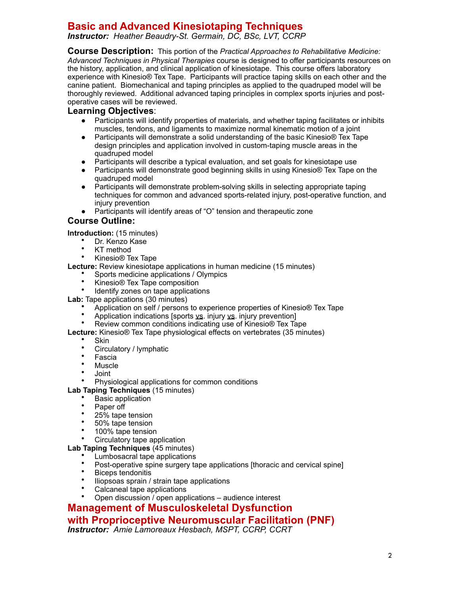# **Basic and Advanced Kinesiotaping Techniques**

*Instructor: Heather Beaudry-St. Germain, DC, BSc, LVT, CCRP* 

**Course Description:** This portion of the *Practical Approaches to Rehabilitative Medicine: Advanced Techniques in Physical Therapies* course is designed to offer participants resources on the history, application, and clinical application of kinesiotape. This course offers laboratory experience with Kinesio® Tex Tape. Participants will practice taping skills on each other and the canine patient. Biomechanical and taping principles as applied to the quadruped model will be thoroughly reviewed. Additional advanced taping principles in complex sports injuries and postoperative cases will be reviewed.

### **Learning Objectives**:

- Participants will identify properties of materials, and whether taping facilitates or inhibits muscles, tendons, and ligaments to maximize normal kinematic motion of a joint
- Participants will demonstrate a solid understanding of the basic Kinesio<sup>®</sup> Tex Tape design principles and application involved in custom-taping muscle areas in the quadruped model
- Participants will describe a typical evaluation, and set goals for kinesiotape use
- Participants will demonstrate good beginning skills in using Kinesio<sup>®</sup> Tex Tape on the quadruped model
- Participants will demonstrate problem-solving skills in selecting appropriate taping techniques for common and advanced sports-related injury, post-operative function, and injury prevention
- Participants will identify areas of "O" tension and therapeutic zone

### **Course Outline:**

**Introduction:** (15 minutes)

- Dr. Kenzo Kase
- KT method
- Kinesio® Tex Tape

**Lecture:** Review kinesiotape applications in human medicine (15 minutes)

- Sports medicine applications / Olympics
- Kinesio® Tex Tape composition
- Identify zones on tape applications

**Lab:** Tape applications (30 minutes)

- Application on self / persons to experience properties of Kinesio® Tex Tape
- Application indications [sports vs. injury vs. injury prevention]
- Review common conditions indicating use of Kinesio® Tex Tape
- **Lecture:** Kinesio® Tex Tape physiological effects on vertebrates (35 minutes)

#### • Skin

- Circulatory / lymphatic
- Fascia
- Muscle
- Joint
- Physiological applications for common conditions

**Lab Taping Techniques** (15 minutes)

- Basic application
- Paper off
- 25% tape tension
- 50% tape tension
- 100% tape tension
- Circulatory tape application

#### **Lab Taping Techniques** (45 minutes)

- Lumbosacral tape applications
- Post-operative spine surgery tape applications [thoracic and cervical spine]
- Biceps tendonitis
- Iliopsoas sprain / strain tape applications
- Calcaneal tape applications
- Open discussion / open applications audience interest

# **Management of Musculoskeletal Dysfunction**

## **with Proprioceptive Neuromuscular Facilitation (PNF)**

*Instructor: Amie Lamoreaux Hesbach, MSPT, CCRP, CCRT*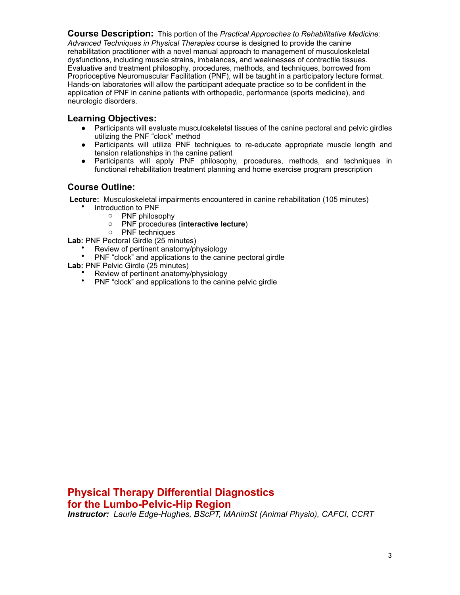**Course Description:** This portion of the *Practical Approaches to Rehabilitative Medicine: Advanced Techniques in Physical Therapies* course is designed to provide the canine rehabilitation practitioner with a novel manual approach to management of musculoskeletal dysfunctions, including muscle strains, imbalances, and weaknesses of contractile tissues. Evaluative and treatment philosophy, procedures, methods, and techniques, borrowed from Proprioceptive Neuromuscular Facilitation (PNF), will be taught in a participatory lecture format. Hands-on laboratories will allow the participant adequate practice so to be confident in the application of PNF in canine patients with orthopedic, performance (sports medicine), and neurologic disorders.

## **Learning Objectives:**

- Participants will evaluate musculoskeletal tissues of the canine pectoral and pelvic girdles utilizing the PNF "clock" method
- Participants will utilize PNF techniques to re-educate appropriate muscle length and tension relationships in the canine patient
- Participants will apply PNF philosophy, procedures, methods, and techniques in functional rehabilitation treatment planning and home exercise program prescription

### **Course Outline:**

 **Lecture:** Musculoskeletal impairments encountered in canine rehabilitation (105 minutes)

- Introduction to PNF
	- o PNF philosophy
	- o PNF procedures (**interactive lecture**)
	- o PNF techniques

**Lab:** PNF Pectoral Girdle (25 minutes)

- <sup>•</sup> Review of pertinent anatomy/physiology
- PNF "clock" and applications to the canine pectoral girdle
- **Lab:** PNF Pelvic Girdle (25 minutes)
	- Review of pertinent anatomy/physiology
	- PNF "clock" and applications to the canine pelvic girdle

**Physical Therapy Differential Diagnostics for the Lumbo-Pelvic-Hip Region** 

*Instructor: Laurie Edge-Hughes, BScPT, MAnimSt (Animal Physio), CAFCI, CCRT*